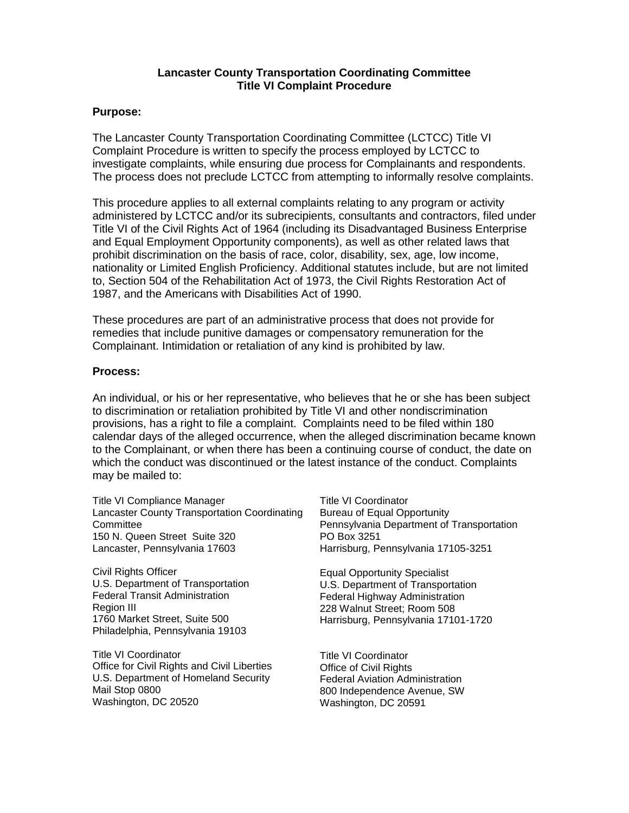## **Lancaster County Transportation Coordinating Committee Title VI Complaint Procedure**

## **Purpose:**

The Lancaster County Transportation Coordinating Committee (LCTCC) Title VI Complaint Procedure is written to specify the process employed by LCTCC to investigate complaints, while ensuring due process for Complainants and respondents. The process does not preclude LCTCC from attempting to informally resolve complaints.

This procedure applies to all external complaints relating to any program or activity administered by LCTCC and/or its subrecipients, consultants and contractors, filed under Title VI of the Civil Rights Act of 1964 (including its Disadvantaged Business Enterprise and Equal Employment Opportunity components), as well as other related laws that prohibit discrimination on the basis of race, color, disability, sex, age, low income, nationality or Limited English Proficiency. Additional statutes include, but are not limited to, Section 504 of the Rehabilitation Act of 1973, the Civil Rights Restoration Act of 1987, and the Americans with Disabilities Act of 1990.

These procedures are part of an administrative process that does not provide for remedies that include punitive damages or compensatory remuneration for the Complainant. Intimidation or retaliation of any kind is prohibited by law.

## **Process:**

An individual, or his or her representative, who believes that he or she has been subject to discrimination or retaliation prohibited by Title VI and other nondiscrimination provisions, has a right to file a complaint. Complaints need to be filed within 180 calendar days of the alleged occurrence, when the alleged discrimination became known to the Complainant, or when there has been a continuing course of conduct, the date on which the conduct was discontinued or the latest instance of the conduct. Complaints may be mailed to:

Title VI Compliance Manager Lancaster County Transportation Coordinating **Committee** 150 N. Queen Street Suite 320 Lancaster, Pennsylvania 17603

Civil Rights Officer U.S. Department of Transportation Federal Transit Administration Region III 1760 Market Street, Suite 500 Philadelphia, Pennsylvania 19103

Title VI Coordinator Office for Civil Rights and Civil Liberties U.S. Department of Homeland Security Mail Stop 0800 Washington, DC 20520

Title VI Coordinator Bureau of Equal Opportunity Pennsylvania Department of Transportation PO Box 3251 Harrisburg, Pennsylvania 17105-3251

Equal Opportunity Specialist U.S. Department of Transportation Federal Highway Administration 228 Walnut Street; Room 508 Harrisburg, Pennsylvania 17101-1720

Title VI Coordinator Office of Civil Rights Federal Aviation Administration 800 Independence Avenue, SW Washington, DC 20591